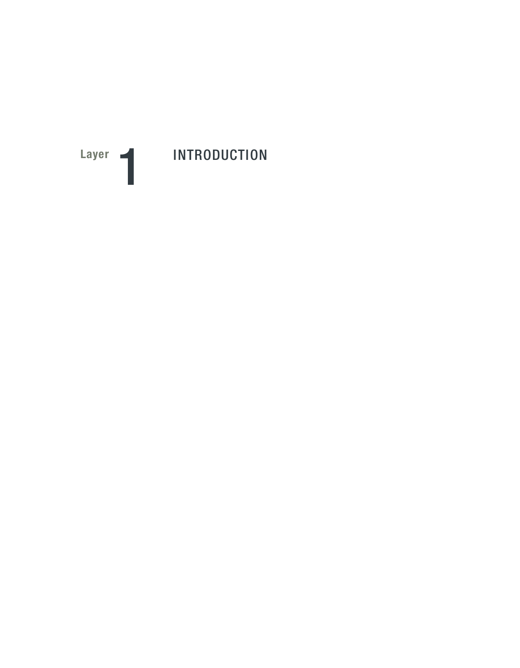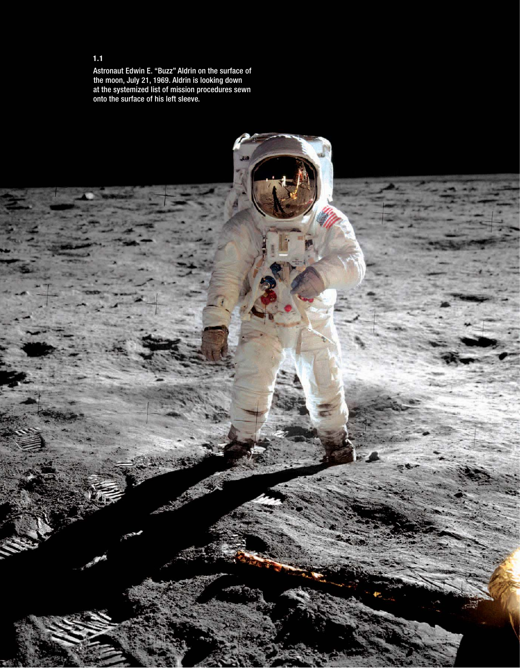**1.1**

Astronaut Edwin E. "Buzz" Aldrin on the surface of the moon, July 21, 1969. Aldrin is looking down at the systemized list of mission procedures sewn onto the surface of his left sleeve.

2 **LAYER 1999** The control of the control of the control of the control of the control of the control of the control of the control of the control of the control of the control of the control of the control of the control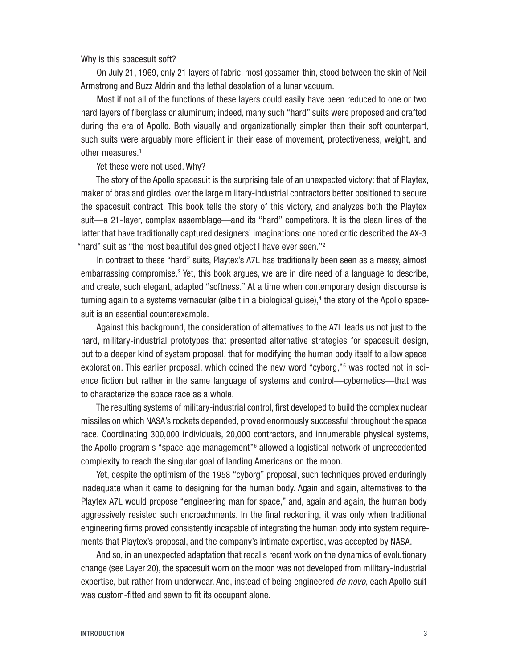#### Why is this spacesuit soft?

On July 21, 1969, only 21 layers of fabric, most gossamer-thin, stood between the skin of Neil Armstrong and Buzz Aldrin and the lethal desolation of a lunar vacuum.

Most if not all of the functions of these layers could easily have been reduced to one or two hard layers of fiberglass or aluminum; indeed, many such "hard" suits were proposed and crafted during the era of Apollo. Both visually and organizationally simpler than their soft counterpart, such suits were arguably more efficient in their ease of movement, protectiveness, weight, and other measures.<sup>1</sup>

#### Yet these were not used. Why?

The story of the Apollo spacesuit is the surprising tale of an unexpected victory: that of Playtex, maker of bras and girdles, over the large military-industrial contractors better positioned to secure the spacesuit contract. This book tells the story of this victory, and analyzes both the Playtex suit—a 21-layer, complex assemblage—and its "hard" competitors. It is the clean lines of the latter that have traditionally captured designers' imaginations: one noted critic described the AX-3 "hard" suit as "the most beautiful designed object I have ever seen."2

In contrast to these "hard" suits, Playtex's A7L has traditionally been seen as a messy, almost embarrassing compromise.<sup>3</sup> Yet, this book argues, we are in dire need of a language to describe, and create, such elegant, adapted "softness." At a time when contemporary design discourse is turning again to a systems vernacular (albeit in a biological guise), $4$  the story of the Apollo spacesuit is an essential counterexample.

Against this background, the consideration of alternatives to the A7L leads us not just to the hard, military-industrial prototypes that presented alternative strategies for spacesuit design, but to a deeper kind of system proposal, that for modifying the human body itself to allow space exploration. This earlier proposal, which coined the new word "cyborg,"<sup>5</sup> was rooted not in science fiction but rather in the same language of systems and control—cybernetics—that was to characterize the space race as a whole.

The resulting systems of military-industrial control, first developed to build the complex nuclear missiles on which NASA's rockets depended, proved enormously successful throughout the space race. Coordinating 300,000 individuals, 20,000 contractors, and innumerable physical systems, the Apollo program's "space-age management"<sup>6</sup> allowed a logistical network of unprecedented complexity to reach the singular goal of landing Americans on the moon.

Yet, despite the optimism of the 1958 "cyborg" proposal, such techniques proved enduringly inadequate when it came to designing for the human body. Again and again, alternatives to the Playtex A7L would propose "engineering man for space," and, again and again, the human body aggressively resisted such encroachments. In the final reckoning, it was only when traditional engineering firms proved consistently incapable of integrating the human body into system requirements that Playtex's proposal, and the company's intimate expertise, was accepted by NASA.

And so, in an unexpected adaptation that recalls recent work on the dynamics of evolutionary change (see Layer 20), the spacesuit worn on the moon was not developed from military-industrial expertise, but rather from underwear. And, instead of being engineered *de novo*, each Apollo suit was custom-fitted and sewn to fit its occupant alone.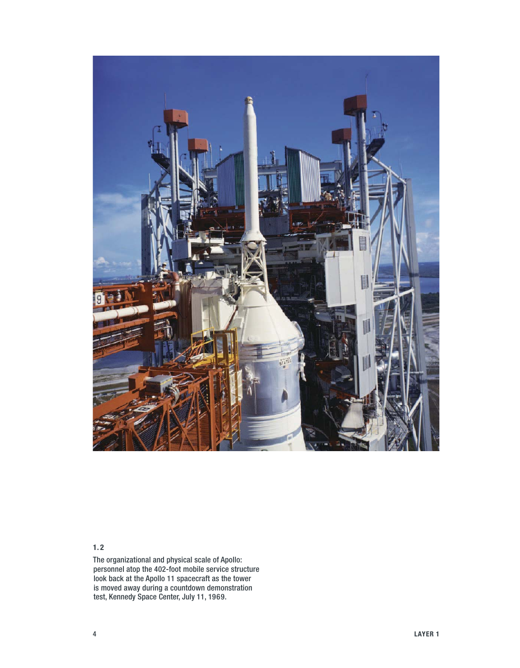

## **1.2**

The organizational and physical scale of Apollo: personnel atop the 402-foot mobile service structure look back at the Apollo 11 spacecraft as the tower is moved away during a countdown demonstration test, Kennedy Space Center, July 11, 1969.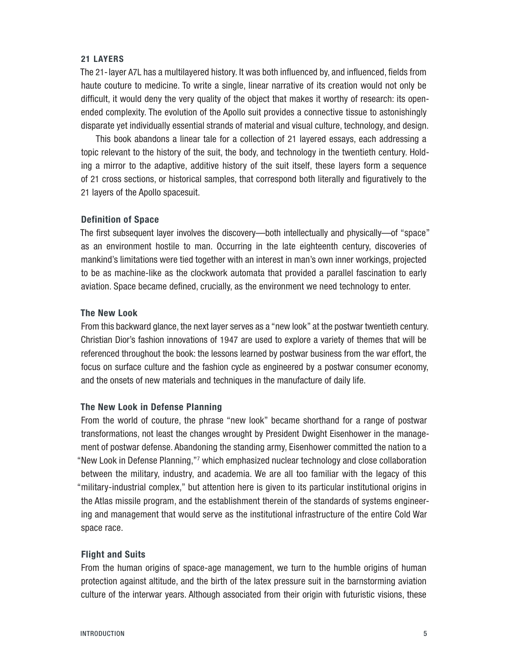### **21 LAYERS**

The 21-layer A7L has a multilayered history. It was both influenced by, and influenced, fields from haute couture to medicine. To write a single, linear narrative of its creation would not only be difficult, it would deny the very quality of the object that makes it worthy of research: its openended complexity. The evolution of the Apollo suit provides a connective tissue to astonishingly disparate yet individually essential strands of material and visual culture, technology, and design.

This book abandons a linear tale for a collection of 21 layered essays, each addressing a topic relevant to the history of the suit, the body, and technology in the twentieth century. Holding a mirror to the adaptive, additive history of the suit itself, these layers form a sequence of 21 cross sections, or historical samples, that correspond both literally and figuratively to the 21 layers of the Apollo spacesuit.

### **Definition of Space**

The first subsequent layer involves the discovery—both intellectually and physically—of "space" as an environment hostile to man. Occurring in the late eighteenth century, discoveries of mankind's limitations were tied together with an interest in man's own inner workings, projected to be as machine-like as the clockwork automata that provided a parallel fascination to early aviation. Space became defined, crucially, as the environment we need technology to enter.

### **The New Look**

From this backward glance, the next layer serves as a "new look" at the postwar twentieth century. Christian Dior's fashion innovations of 1947 are used to explore a variety of themes that will be referenced throughout the book: the lessons learned by postwar business from the war effort, the focus on surface culture and the fashion cycle as engineered by a postwar consumer economy, and the onsets of new materials and techniques in the manufacture of daily life.

#### **The New Look in Defense Planning**

From the world of couture, the phrase "new look" became shorthand for a range of postwar transformations, not least the changes wrought by President Dwight Eisenhower in the management of postwar defense. Abandoning the standing army, Eisenhower committed the nation to a "New Look in Defense Planning,"7 which emphasized nuclear technology and close collaboration between the military, industry, and academia. We are all too familiar with the legacy of this "military-industrial complex," but attention here is given to its particular institutional origins in the Atlas missile program, and the establishment therein of the standards of systems engineering and management that would serve as the institutional infrastructure of the entire Cold War space race.

#### **Flight and Suits**

From the human origins of space-age management, we turn to the humble origins of human protection against altitude, and the birth of the latex pressure suit in the barnstorming aviation culture of the interwar years. Although associated from their origin with futuristic visions, these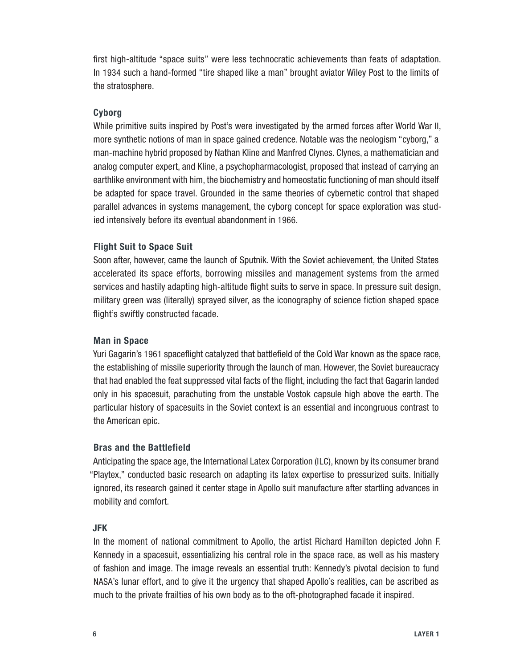first high-altitude "space suits" were less technocratic achievements than feats of adaptation. In 1934 such a hand-formed "tire shaped like a man" brought aviator Wiley Post to the limits of the stratosphere.

# **Cyborg**

While primitive suits inspired by Post's were investigated by the armed forces after World War II, more synthetic notions of man in space gained credence. Notable was the neologism "cyborg," a man-machine hybrid proposed by Nathan Kline and Manfred Clynes. Clynes, a mathematician and analog computer expert, and Kline, a psychopharmacologist, proposed that instead of carrying an earthlike environment with him, the biochemistry and homeostatic functioning of man should itself be adapted for space travel. Grounded in the same theories of cybernetic control that shaped parallel advances in systems management, the cyborg concept for space exploration was studied intensively before its eventual abandonment in 1966.

# **Flight Suit to Space Suit**

Soon after, however, came the launch of Sputnik. With the Soviet achievement, the United States accelerated its space efforts, borrowing missiles and management systems from the armed services and hastily adapting high-altitude flight suits to serve in space. In pressure suit design, military green was (literally) sprayed silver, as the iconography of science fiction shaped space flight's swiftly constructed facade.

# **Man in Space**

Yuri Gagarin's 1961 spaceflight catalyzed that battlefield of the Cold War known as the space race, the establishing of missile superiority through the launch of man. However, the Soviet bureaucracy that had enabled the feat suppressed vital facts of the flight, including the fact that Gagarin landed only in his spacesuit, parachuting from the unstable Vostok capsule high above the earth. The particular history of spacesuits in the Soviet context is an essential and incongruous contrast to the American epic.

# **Bras and the Battlefield**

Anticipating the space age, the International Latex Corporation (ILC), known by its consumer brand "Playtex," conducted basic research on adapting its latex expertise to pressurized suits. Initially ignored, its research gained it center stage in Apollo suit manufacture after startling advances in mobility and comfort.

# **JFK**

In the moment of national commitment to Apollo, the artist Richard Hamilton depicted John F. Kennedy in a spacesuit, essentializing his central role in the space race, as well as his mastery of fashion and image. The image reveals an essential truth: Kennedy's pivotal decision to fund NASA's lunar effort, and to give it the urgency that shaped Apollo's realities, can be ascribed as much to the private frailties of his own body as to the oft-photographed facade it inspired.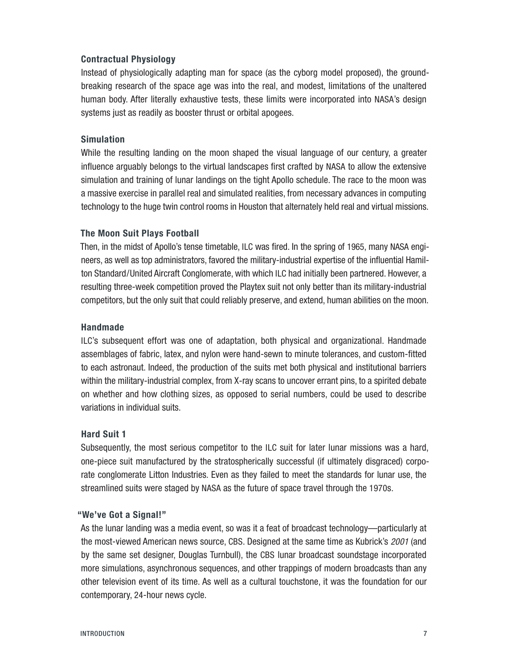# **Contractual Physiology**

Instead of physiologically adapting man for space (as the cyborg model proposed), the groundbreaking research of the space age was into the real, and modest, limitations of the unaltered human body. After literally exhaustive tests, these limits were incorporated into NASA's design systems just as readily as booster thrust or orbital apogees.

## **Simulation**

While the resulting landing on the moon shaped the visual language of our century, a greater influence arguably belongs to the virtual landscapes first crafted by NASA to allow the extensive simulation and training of lunar landings on the tight Apollo schedule. The race to the moon was a massive exercise in parallel real and simulated realities, from necessary advances in computing technology to the huge twin control rooms in Houston that alternately held real and virtual missions.

## **The Moon Suit Plays Football**

Then, in the midst of Apollo's tense timetable, ILC was fired. In the spring of 1965, many NASA engineers, as well as top administrators, favored the military-industrial expertise of the influential Hamilton Standard/United Aircraft Conglomerate, with which ILC had initially been partnered. However, a resulting three-week competition proved the Playtex suit not only better than its military-industrial competitors, but the only suit that could reliably preserve, and extend, human abilities on the moon.

## **Handmade**

ILC's subsequent effort was one of adaptation, both physical and organizational. Handmade assemblages of fabric, latex, and nylon were hand-sewn to minute tolerances, and custom-fitted to each astronaut. Indeed, the production of the suits met both physical and institutional barriers within the military-industrial complex, from X-ray scans to uncover errant pins, to a spirited debate on whether and how clothing sizes, as opposed to serial numbers, could be used to describe variations in individual suits.

### **Hard Suit 1**

Subsequently, the most serious competitor to the ILC suit for later lunar missions was a hard, one-piece suit manufactured by the stratospherically successful (if ultimately disgraced) corporate conglomerate Litton Industries. Even as they failed to meet the standards for lunar use, the streamlined suits were staged by NASA as the future of space travel through the 1970s.

# **"We've Got a Signal!"**

As the lunar landing was a media event, so was it a feat of broadcast technology—particularly at the most-viewed American news source, CBS. Designed at the same time as Kubrick's 2001 (and by the same set designer, Douglas Turnbull), the CBS lunar broadcast soundstage incorporated more simulations, asynchronous sequences, and other trappings of modern broadcasts than any other television event of its time. As well as a cultural touchstone, it was the foundation for our contemporary, 24-hour news cycle.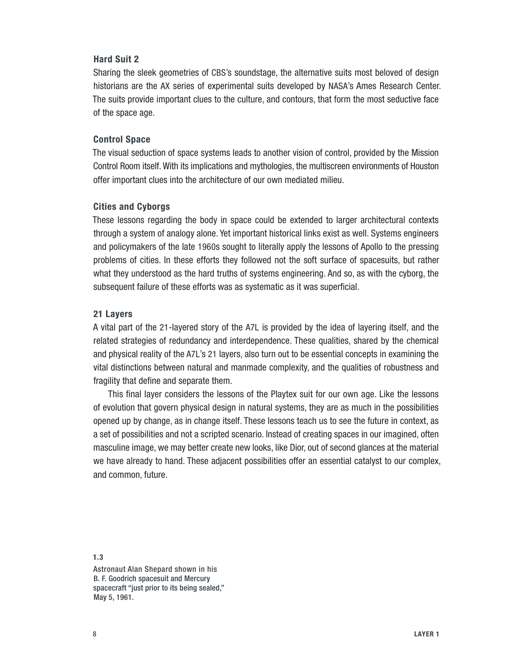## **Hard Suit 2**

Sharing the sleek geometries of CBS's soundstage, the alternative suits most beloved of design historians are the AX series of experimental suits developed by NASA's Ames Research Center. The suits provide important clues to the culture, and contours, that form the most seductive face of the space age.

### **Control Space**

The visual seduction of space systems leads to another vision of control, provided by the Mission Control Room itself. With its implications and mythologies, the multiscreen environments of Houston offer important clues into the architecture of our own mediated milieu.

### **Cities and Cyborgs**

These lessons regarding the body in space could be extended to larger architectural contexts through a system of analogy alone. Yet important historical links exist as well. Systems engineers and policymakers of the late 1960s sought to literally apply the lessons of Apollo to the pressing problems of cities. In these efforts they followed not the soft surface of spacesuits, but rather what they understood as the hard truths of systems engineering. And so, as with the cyborg, the subsequent failure of these efforts was as systematic as it was superficial.

#### **21 Layers**

A vital part of the 21-layered story of the A7L is provided by the idea of layering itself, and the related strategies of redundancy and interdependence. These qualities, shared by the chemical and physical reality of the A7L's 21 layers, also turn out to be essential concepts in examining the vital distinctions between natural and manmade complexity, and the qualities of robustness and fragility that define and separate them.

This final layer considers the lessons of the Playtex suit for our own age. Like the lessons of evolution that govern physical design in natural systems, they are as much in the possibilities opened up by change, as in change itself. These lessons teach us to see the future in context, as a set of possibilities and not a scripted scenario. Instead of creating spaces in our imagined, often masculine image, we may better create new looks, like Dior, out of second glances at the material we have already to hand. These adjacent possibilities offer an essential catalyst to our complex, and common, future.

**1.3**

Astronaut Alan Shepard shown in his B. F. Goodrich spacesuit and Mercury spacecraft "just prior to its being sealed." May 5, 1961.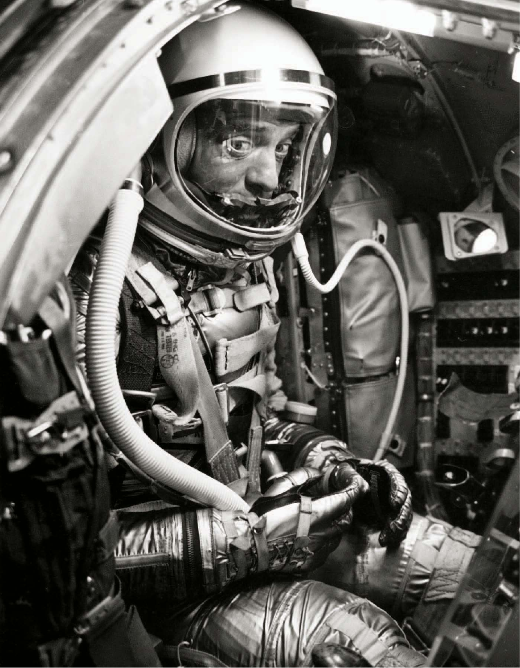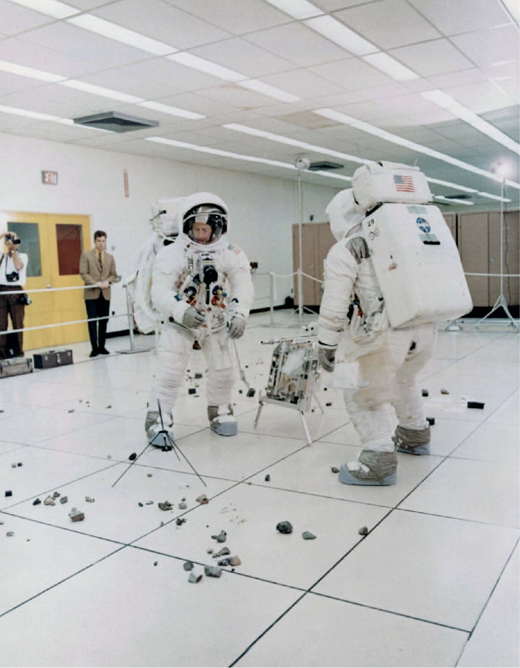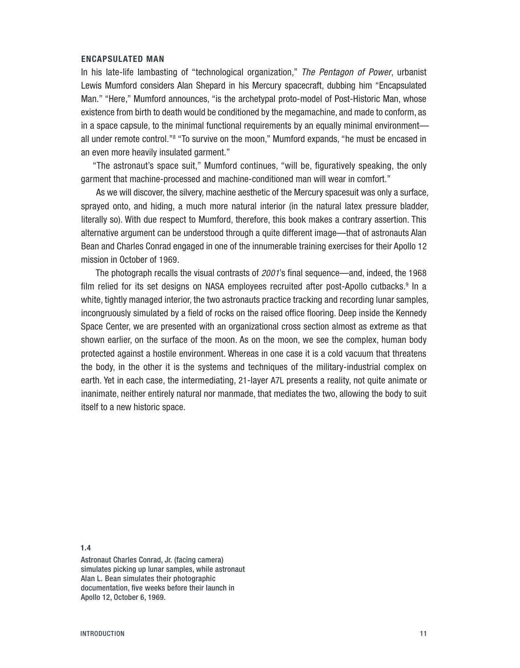#### **ENCAPSULATED MAN**

In his late-life lambasting of "technological organization," The Pentagon of Power, urbanist Lewis Mumford considers Alan Shepard in his Mercury spacecraft, dubbing him "Encapsulated Man." "Here," Mumford announces, "is the archetypal proto-model of Post-Historic Man, whose existence from birth to death would be conditioned by the megamachine, and made to conform, as in a space capsule, to the minimal functional requirements by an equally minimal environment all under remote control."<sup>8</sup> "To survive on the moon," Mumford expands, "he must be encased in an even more heavily insulated garment."

"The astronaut's space suit," Mumford continues, "will be, figuratively speaking, the only garment that machine-processed and machine-conditioned man will wear in comfort."

As we will discover, the silvery, machine aesthetic of the Mercury spacesuit was only a surface, sprayed onto, and hiding, a much more natural interior (in the natural latex pressure bladder, literally so). With due respect to Mumford, therefore, this book makes a contrary assertion. This alternative argument can be understood through a quite different image—that of astronauts Alan Bean and Charles Conrad engaged in one of the innumerable training exercises for their Apollo 12 mission in October of 1969.

The photograph recalls the visual contrasts of 2001's final sequence—and, indeed, the 1968 film relied for its set designs on NASA employees recruited after post-Apollo cutbacks.<sup>9</sup> In a white, tightly managed interior, the two astronauts practice tracking and recording lunar samples, incongruously simulated by a field of rocks on the raised office flooring. Deep inside the Kennedy Space Center, we are presented with an organizational cross section almost as extreme as that shown earlier, on the surface of the moon. As on the moon, we see the complex, human body protected against a hostile environment. Whereas in one case it is a cold vacuum that threatens the body, in the other it is the systems and techniques of the military-industrial complex on earth. Yet in each case, the intermediating, 21-layer A7L presents a reality, not quite animate or inanimate, neither entirely natural nor manmade, that mediates the two, allowing the body to suit itself to a new historic space.

**1.4**

Astronaut Charles Conrad, Jr. (facing camera) simulates picking up lunar samples, while astronaut Alan L. Bean simulates their photographic documentation, five weeks before their launch in Apollo 12, October 6, 1969.